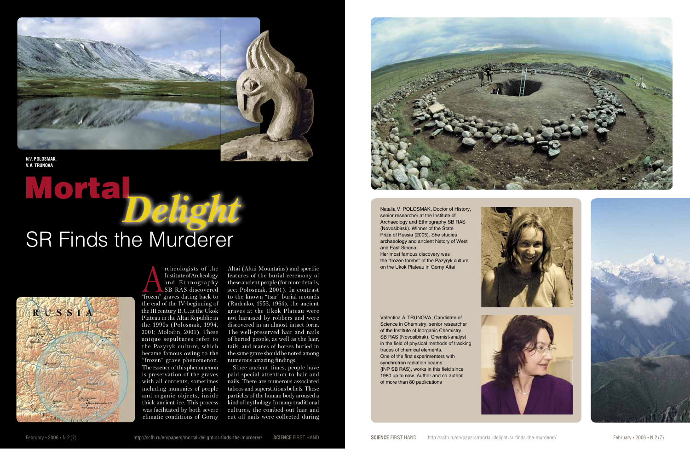HYPOTHESES AND FACTS

Natalia V. POLOSMAK, Doctor of History, senior researcher at the Institute of Archaeology and Ethnography SB RAS (Novosibirsk). Winner of the State Prize of Russia (2005). She studies archaeology and ancient history of West and East Siberia. Her most famous discovery was the "frozen tombs" of the Pazyryk culture on the Ukok Plateau in Gorny Altai



Valentina A. TRUNOVA, Candidate of Science in Chemistry, senior researcher of the Institute of Inorganic Chemistry SB RAS (Novosibirsk). Chemist-analyst in the field of physical methods of tracking traces of chemical elements. One of the first experimenters with synchrotron radiation beams (INP SB RAS), works in this field since 1980 up to now. Author and co-author of more than 80 publications







rcheologists of the<br>
Institute of Archeology<br>
and Ethnography<br>
SB RAS discovered<br>
"frozen" graves dating back to Institute of Archeology and Ethnography SB RAS discovered the end of the IV-beginning of the III century B. C. at the Ukok Plateau in the Altai Republic in the 1990s (Polosmak, 1994, 2001; Molodin, 2001). These unique sepultures refer to the Pazyryk culture, which became famous owing to the "frozen" grave phenomenon. The essence of this phenomenon is preservation of the graves with all contents, sometimes including mummies of people and organic objects, inside thick ancient ice. This process was facilitated by both severe climatic conditions of Gorny

Altai (Altai Mountains) and specific features of the burial ceremony of these ancient people (for more details, see: Polosmak, 2001). In contrast to the known "tsar" burial mounds (Rudenko, 1953, 1964), the ancient graves at the Ukok Plateau were not harassed by robbers and were discovered in an almost intact form. The well-preserved hair and nails of buried people, as well as the hair, tails, and manes of horses buried in the same grave should be noted among numerous amazing findings.

Since ancient times, people have paid special attention to hair and nails. There are numerous associated taboos and superstitious beliefs. These particles of the human body aroused a kind of mythology. In many traditional cultures, the combed-out hair and cut-off nails were collected during





# *Delight* SR Finds the Murderer

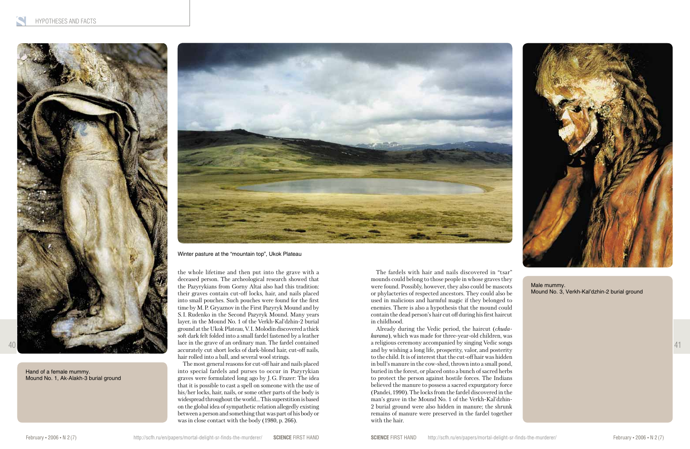

the whole lifetime and then put into the grave with a deceased person. The archeological research showed that the Pazyrykians from Gorny Altai also had this tradition: their graves contain cut-off locks, hair, and nails placed into small pouches. Such pouches were found for the first time by M. P. Gryaznov in the First Pazyryk Mound and by S. I. Rudenko in the Second Pazyryk Mound. Many years layer, in the Mound No. 1 of the Verkh-Kal'dzhin-2 burial ground at the Ukok Plateau, V. I. Molodin discovered a thick soft dark felt folded into a small fardel fastened by a leather lace in the grave of an ordinary man. The fardel contained accurately cut short locks of dark-blond hair, cut-off nails, hair rolled into a ball, and several wool strings.

The most general reasons for cut-off hair and nails placed into special fardels and purses to occur in Pazyrykian graves were formulated long ago by J. G. Frazer: The idea that it is possible to cast a spell on someone with the use of his/her locks, hair, nails, or some other parts of the body is widespread throughout the world… This superstition is based on the global idea of sympathetic relation allegedly existing between a person and something that was part of his body or was in close contact with the body (1980, p. 266).

The fardels with hair and nails discovered in "tsar" mounds could belong to those people in whose graves they were found. Possibly, however, they also could be mascots or phylacteries of respected ancestors. They could also be used in malicious and harmful magic if they belonged to enemies. There is also a hypothesis that the mound could contain the dead person's hair cut off during his first haircut in childhood.

Already during the Vedic period, the haircut (*chudakarana*), which was made for three-year-old children, was a religious ceremony accompanied by singing Vedic songs and by wishing a long life, prosperity, valor, and posterity to the child. It is of interest that the cut-off hair was hidden in bull's manure in the cow-shed, thrown into a small pond, buried in the forest, or placed onto a bunch of sacred herbs to protect the person against hostile forces. The Indians believed the manure to possess a sacred expurgatory force (Pandei, 1990). The locks from the fardel discovered in the man's grave in the Mound No. 1 of the Verkh-Kal'dzhin-2 burial ground were also hidden in manure; the shrunk remains of manure were preserved in the fardel together with the hair.



41

Hand of a female mummy. Mound No. 1, Ak-Alakh-3 burial ground



Male mummy. Mound No. 3, Verkh-Kal'dzhin-2 burial ground

Winter pasture at the "mountain top", Ukok Plateau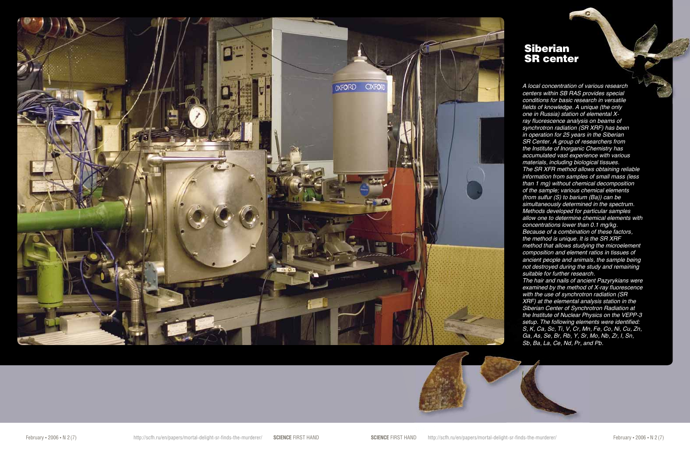

*A local concentration of various research centers within SB RAS provides special conditions for basic research in versatile fields of knowledge. A unique (the only one in Russia) station of elemental Xray fluorescence analysis on beams of synchrotron radiation (SR XRF) has been in operation for 25 years in the Siberian SR Center. A group of researchers from the Institute of Inorganic Chemistry has accumulated vast experience with various materials, including biological tissues. The SR XFR method allows obtaining reliable information from samples of small mass (less than 1 mg) without chemical decomposition of the sample; various chemical elements (from sulfur (S) to barium (Ba)) can be simultaneously determined in the spectrum. Methods developed for particular samples allow one to determine chemical elements with concentrations lower than 0.1 mg/kg. Because of a combination of these factors, the method is unique. It is the SR XRF method that allows studying the microelement composition and element ratios in tissues of ancient people and animals, the sample being not destroyed during the study and remaining suitable for further research. The hair and nails of ancient Pazyrykians were examined by the method of X-ray fluorescence with the use of synchrotron radiation (SR XRF) at the elemental analysis station in the* 

*Siberian Center of Synchrotron Radiation at the Institute of Nuclear Physics on the VEPP-3 setup. The following elements were identified: S, K, Ca, Sc, Ti, V, Cr, Mn, Fe, Co, Ni, Cu, Zn, Ga, As, Se, Br, Rb, Y, Sr, Mo, Nb, Zr, I, Sn, Sb, Ba, La, Ce, Nd, Pr, and Pb.*

# Siberian



## SR center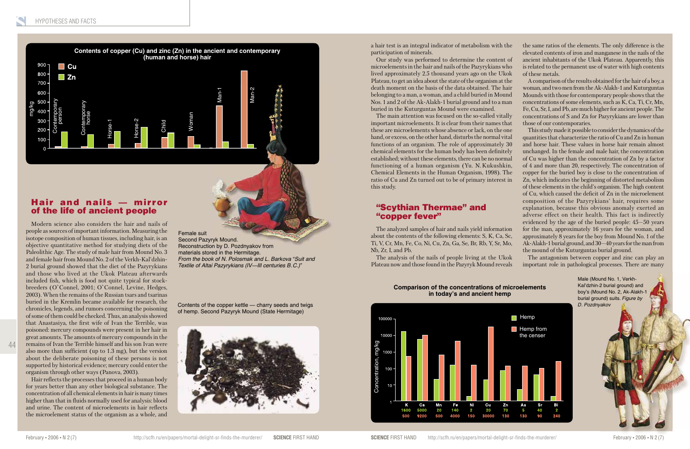44

### Hair and nails — mirror of the life of ancient people

Modern science also considers the hair and nails of people as sources of important information. Measuring the isotope composition of human tissues, including hair, is an objective quantitative method for studying diets of the Paleolithic Age. The study of male hair from Mound No. 3 and female hair from Mound No. 2 of the Verkh-Kal'dzhin-2 burial ground showed that the diet of the Pazyrykians and those who lived at the Ukok Plateau afterwards included fish, which is food not quite typical for stockbreeders (O`Connel, 2001; O`Connel, Levine, Hedges, 2003). When the remains of the Russian tsars and tsarinas buried in the Kremlin became available for research, the chronicles, legends, and rumors concerning the poisoning of some of them could be checked. Thus, an analysis showed that Anastasiya, the first wife of Ivan the Terrible, was poisoned: mercury compounds were present in her hair in great amounts. The amounts of mercury compounds in the remains of Ivan the Terrible himself and his son Ivan were also more than sufficient (up to 1.3 mg), but the version about the deliberate poisoning of these persons is not supported by historical evidence; mercury could enter the organism through other ways (Panova, 2003).

Hair reflects the processes that proceed in a human body for years better than any other biological substance. The concentration of all chemical elements in hair is many times higher than that in fluids normally used for analysis: blood and urine. The content of microelements in hair reflects the microelement status of the organism as a whole, and

a hair test is an integral indicator of metabolism with the participation of minerals.

Our study was performed to determine the content of microelements in the hair and nails of the Pazyrykians who lived approximately 2.5 thousand years ago on the Ukok Plateau, to get an idea about the state of the organism at the death moment on the basis of the data obtained. The hair belonging to a man, a woman, and a child buried in Mound Nos. 1 and 2 of the Ak-Alakh-1 burial ground and to a man buried in the Kuturguntas Mound were examined.

The main attention was focused on the so-called vitally important microelements. It is clear from their names that these are microelements whose absence or lack, on the one hand, or excess, on the other hand, disturbs the normal vital functions of an organism. The role of approximately 30 chemical elements for the human body has been definitely established; without these elements, there can be no normal functioning of a human organism (Yu. N. Kukushkin, Chemical Elements in the Human Organism, 1998). The ratio of Cu and Zn turned out to be of primary interest in this study.

Female suit Second Pazyryk Mound. Reconstruction by D. Pozdnyakov from materials stored in the Hermitage. *From the book of N. Polosmak and L. Barkova "Suit and Textile of Altai Pazyrykians (IV—III centuries B. C.)"*

the same ratios of the elements. The only difference is the elevated contents of iron and manganese in the nails of the ancient inhabitants of the Ukok Plateau. Apparently, this is related to the permanent use of water with high contents of these metals.

A comparison of the results obtained for the hair of a boy, a woman, and two men from the Ak-Alakh-1 and Kuturguntas Mounds with those for contemporary people shows that the concentrations of some elements, such as K, Ca, Ti, Cr, Mn, Fe, Cu, Sr, I, and Pb, are much higher for ancient people. The concentrations of S and Zn for Pazyrykians are lower than those of our contemporaries.



This study made it possible to consider the dynamics of the quantities that characterize the ratio of Cu and Zn in human and horse hair. These values in horse hair remain almost unchanged. In the female and male hair, the concentration of Cu was higher than the concentration of Zn by a factor of 4 and more than 20, respectively. The concentration of copper for the buried boy is close to the concentration of Zn, which indicates the beginning of distorted metabolism of these elements in the child's organism. The high content of Cu, which caused the deficit of Zn in the microelement composition of the Pazyrykians' hair, requires some explanation, because this obvious anomaly exerted an adverse effect on their health. This fact is indirectly evidenced by the age of the buried people: 45—50 years for the man, approximately 16 years for the woman, and approximately 8 years for the boy from Mound No. 1 of the Ak-Alakh-1 burial ground, and 30—40 years for the man from the mound of the Kuturguntas burial ground.

The antagonism between copper and zinc can play an important role in pathological processes. There are many

#### **Comparison of the concentrations of microelements in today's and ancient hemp**



of hemp. Second Pazyryk Mound (State Hermitage)



### "Scythian Thermae" and "copper fever"

The analyzed samples of hair and nails yield information about the contents of the following elements: S, K, Ca, Sc, Ti, V, Cr, Mn, Fe, Co, Ni, Cu, Zn, Ga, Se, Br, Rb, Y, Sr, Mo, Nb, Zr, I, and Pb.



The analysis of the nails of people living at the Ukok Plateau now and those found in the Pazyryk Mound reveals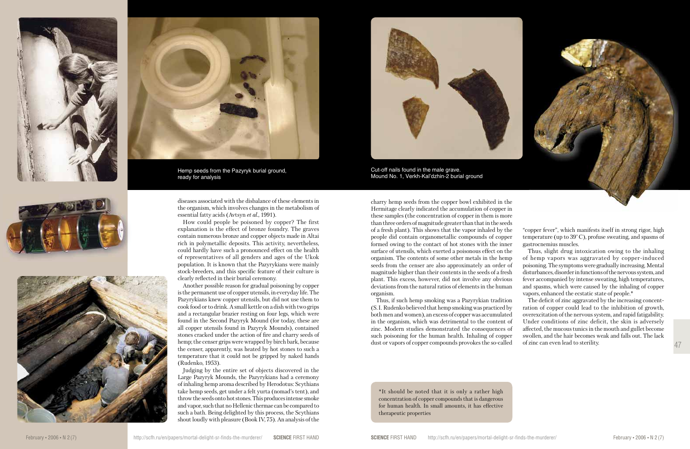47

\*It should be noted that it is only a rather high concentration of copper compounds that is dangerous for human health. In small amounts, it has effective therapeutic properties



diseases associated with the disbalance of these elements in the organism, which involves changes in the metabolism of essential fatty acids (Avtsyn *et al.*, 1991).

How could people be poisoned by copper? The first explanation is the effect of bronze foundry. The graves contain numerous bronze and copper objects made in Altai rich in polymetallic deposits. This activity, nevertheless, could hardly have such a pronounced effect on the health of representatives of all genders and ages of the Ukok population. It is known that the Pazyrykians were mainly stock-breeders, and this specific feature of their culture is clearly reflected in their burial ceremony.

Another possible reason for gradual poisoning by copper is the permanent use of copper utensils, in everyday life. The Pazyrykians knew copper utensils, but did not use them to cook food or to drink. A small kettle on a dish with two grips and a rectangular brazier resting on four legs, which were found in the Second Pazyryk Mound (for today, these are all copper utensils found in Pazyryk Mounds), contained stones cracked under the action of fire and charry seeds of hemp; the censer grips were wrapped by birch bark, because the censer, apparently, was heated by hot stones to such a temperature that it could not be gripped by naked hands (Rudenko, 1953).

Judging by the entire set of objects discovered in the Large Pazyryk Mounds, the Pazyrykians had a ceremony of inhaling hemp aroma described by Herodotus: Scythians take hemp seeds, get under a felt yurta (nomad's tent), and throw the seeds onto hot stones. This produces intense smoke and vapor, such that no Hellenic thermae can be compared to such a bath. Being delighted by this process, the Scythians shout loudly with pleasure (Book IV, 75). An analysis of the charry hemp seeds from the copper bowl exhibited in the Hermitage clearly indicated the accumulation of copper in these samples (the concentration of copper in them is more than three orders of magnitude greater than that in the seeds of a fresh plant). This shows that the vapor inhaled by the people did contain organometallic compounds of copper formed owing to the contact of hot stones with the inner surface of utensils, which exerted a poisonous effect on the organism. The contents of some other metals in the hemp seeds from the censer are also approximately an order of magnitude higher than their contents in the seeds of a fresh plant. This excess, however, did not involve any obvious deviations from the natural ratios of elements in the human organism.

Thus, if such hemp smoking was a Pazyrykian tradition (S. I. Rudenko believed that hemp smoking was practiced by both men and women), an excess of copper was accumulated in the organism, which was detrimental to the content of zinc. Modern studies demonstrated the consequences of such poisoning for the human health. Inhaling of copper dust or vapors of copper compounds provokes the so-called



Cut-off nails found in the male grave. Mound No. 1, Verkh-Kal'dzhin-2 burial ground

"copper fever", which manifests itself in strong rigor, high temperature (up to 39° С), profuse sweating, and spasms of gastrocnemius muscles.

Thus, slight drug intoxication owing to the inhaling of hemp vapors was aggravated by copper-induced poisoning. The symptoms were gradually increasing. Mental disturbances, disorder in functions of the nervous system, and fever accompanied by intense sweating, high temperatures, and spasms, which were caused by the inhaling of copper vapors, enhanced the ecstatic state of people.\*

The deficit of zinc aggravated by the increasing concentration of copper could lead to the inhibition of growth, overexcitation of the nervous system, and rapid fatigability. Under conditions of zinc deficit, the skin is adversely affected, the mucous tunics in the mouth and gullet become swollen, and the hair becomes weak and falls out. The lack of zinc can even lead to sterility.









Hemp seeds from the Pazyryk burial ground, ready for analysis